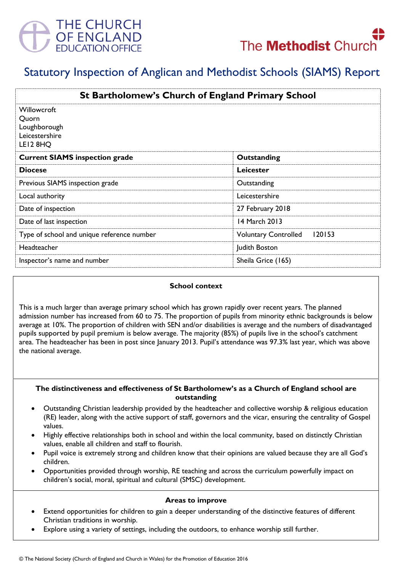



# Statutory Inspection of Anglican and Methodist Schools (SIAMS) Report

| <b>St Bartholomew's Church of England Primary School</b>           |                                       |
|--------------------------------------------------------------------|---------------------------------------|
| Willowcroft<br>Quorn<br>Loughborough<br>Leicestershire<br>LEI2 8HQ |                                       |
| <b>Current SIAMS inspection grade</b>                              | Outstanding                           |
| <b>Diocese</b>                                                     | Leicester                             |
| Previous SIAMS inspection grade                                    | Outstanding                           |
| Local authority                                                    | Leicestershire                        |
| Date of inspection                                                 | 27 February 2018                      |
| Date of last inspection                                            | 14 March 2013                         |
| Type of school and unique reference number                         | 120153<br><b>Voluntary Controlled</b> |
| Headteacher                                                        | Judith Boston                         |
| Inspector's name and number                                        | Sheila Grice (165)                    |

#### **School context**

This is a much larger than average primary school which has grown rapidly over recent years. The planned admission number has increased from 60 to 75. The proportion of pupils from minority ethnic backgrounds is below average at 10%. The proportion of children with SEN and/or disabilities is average and the numbers of disadvantaged pupils supported by pupil premium is below average. The majority (85%) of pupils live in the school's catchment area. The headteacher has been in post since January 2013. Pupil's attendance was 97.3% last year, which was above the national average.

#### **The distinctiveness and effectiveness of St Bartholomew's as a Church of England school are outstanding**

- Outstanding Christian leadership provided by the headteacher and collective worship & religious education (RE) leader, along with the active support of staff, governors and the vicar, ensuring the centrality of Gospel values.
- Highly effective relationships both in school and within the local community, based on distinctly Christian values, enable all children and staff to flourish.
- Pupil voice is extremely strong and children know that their opinions are valued because they are all God's children.
- Opportunities provided through worship, RE teaching and across the curriculum powerfully impact on children's social, moral, spiritual and cultural (SMSC) development.

#### **Areas to improve**

- Extend opportunities for children to gain a deeper understanding of the distinctive features of different Christian traditions in worship.
- Explore using a variety of settings, including the outdoors, to enhance worship still further.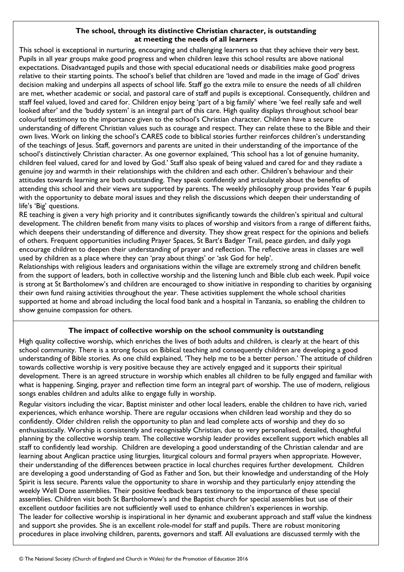## **The school, through its distinctive Christian character, is outstanding at meeting the needs of all learners**

This school is exceptional in nurturing, encouraging and challenging learners so that they achieve their very best. Pupils in all year groups make good progress and when children leave this school results are above national expectations. Disadvantaged pupils and those with special educational needs or disabilities make good progress relative to their starting points. The school's belief that children are 'loved and made in the image of God' drives decision making and underpins all aspects of school life. Staff go the extra mile to ensure the needs of all children are met, whether academic or social, and pastoral care of staff and pupils is exceptional. Consequently, children and staff feel valued, loved and cared for. Children enjoy being 'part of a big family' where 'we feel really safe and well looked after' and the 'buddy system' is an integral part of this care. High quality displays throughout school bear colourful testimony to the importance given to the school's Christian character. Children have a secure understanding of different Christian values such as courage and respect. They can relate these to the Bible and their own lives. Work on linking the school's CARES code to biblical stories further reinforces children's understanding of the teachings of Jesus. Staff, governors and parents are united in their understanding of the importance of the school's distinctively Christian character. As one governor explained, 'This school has a lot of genuine humanity, children feel valued, cared for and loved by God.' Staff also speak of being valued and cared for and they radiate a genuine joy and warmth in their relationships with the children and each other. Children's behaviour and their attitudes towards learning are both outstanding. They speak confidently and articulately about the benefits of attending this school and their views are supported by parents. The weekly philosophy group provides Year 6 pupils with the opportunity to debate moral issues and they relish the discussions which deepen their understanding of life's 'Big' questions.

RE teaching is given a very high priority and it contributes significantly towards the children's spiritual and cultural development. The children benefit from many visits to places of worship and visitors from a range of different faiths, which deepens their understanding of difference and diversity. They show great respect for the opinions and beliefs of others. Frequent opportunities including Prayer Spaces, St Bart's Badger Trail, peace garden, and daily yoga encourage children to deepen their understanding of prayer and reflection. The reflective areas in classes are well used by children as a place where they can 'pray about things' or 'ask God for help'.

Relationships with religious leaders and organisations within the village are extremely strong and children benefit from the support of leaders, both in collective worship and the listening lunch and Bible club each week. Pupil voice is strong at St Bartholomew's and children are encouraged to show initiative in responding to charities by organising their own fund raising activities throughout the year. These activities supplement the whole school charities supported at home and abroad including the local food bank and a hospital in Tanzania, so enabling the children to show genuine compassion for others.

# **The impact of collective worship on the school community is outstanding**

High quality collective worship, which enriches the lives of both adults and children, is clearly at the heart of this school community. There is a strong focus on Biblical teaching and consequently children are developing a good understanding of Bible stories. As one child explained, 'They help me to be a better person.' The attitude of children towards collective worship is very positive because they are actively engaged and it supports their spiritual development. There is an agreed structure in worship which enables all children to be fully engaged and familiar with what is happening. Singing, prayer and reflection time form an integral part of worship. The use of modern, religious songs enables children and adults alike to engage fully in worship.

Regular visitors including the vicar, Baptist minister and other local leaders, enable the children to have rich, varied experiences, which enhance worship. There are regular occasions when children lead worship and they do so confidently. Older children relish the opportunity to plan and lead complete acts of worship and they do so enthusiastically. Worship is consistently and recognisably Christian, due to very personalised, detailed, thoughtful planning by the collective worship team. The collective worship leader provides excellent support which enables all staff to confidently lead worship. Children are developing a good understanding of the Christian calendar and are learning about Anglican practice using liturgies, liturgical colours and formal prayers when appropriate. However, their understanding of the differences between practice in local churches requires further development. Children are developing a good understanding of God as Father and Son, but their knowledge and understanding of the Holy Spirit is less secure. Parents value the opportunity to share in worship and they particularly enjoy attending the weekly Well Done assemblies. Their positive feedback bears testimony to the importance of these special assemblies. Children visit both St Bartholomew's and the Baptist church for special assemblies but use of their excellent outdoor facilities are not sufficiently well used to enhance children's experiences in worship. The leader for collective worship is inspirational in her dynamic and exuberant approach and staff value the kindness and support she provides. She is an excellent role-model for staff and pupils. There are robust monitoring procedures in place involving children, parents, governors and staff. All evaluations are discussed termly with the